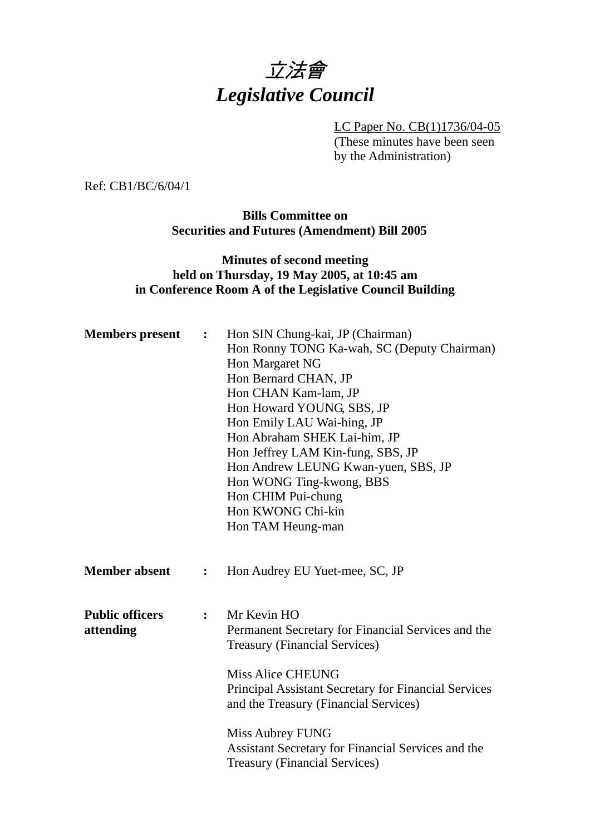

LC Paper No. CB(1)1736/04-05 (These minutes have been seen by the Administration)

Ref: CB1/BC/6/04/1

**Bills Committee on Securities and Futures (Amendment) Bill 2005** 

#### **Minutes of second meeting held on Thursday, 19 May 2005, at 10:45 am in Conference Room A of the Legislative Council Building**

| <b>Members</b> present | $\ddot{\cdot}$ | Hon SIN Chung-kai, JP (Chairman)                            |
|------------------------|----------------|-------------------------------------------------------------|
|                        |                | Hon Ronny TONG Ka-wah, SC (Deputy Chairman)                 |
|                        |                | Hon Margaret NG                                             |
|                        |                | Hon Bernard CHAN, JP                                        |
|                        |                | Hon CHAN Kam-lam, JP                                        |
|                        |                | Hon Howard YOUNG, SBS, JP                                   |
|                        |                | Hon Emily LAU Wai-hing, JP                                  |
|                        |                | Hon Abraham SHEK Lai-him, JP                                |
|                        |                | Hon Jeffrey LAM Kin-fung, SBS, JP                           |
|                        |                | Hon Andrew LEUNG Kwan-yuen, SBS, JP                         |
|                        |                | Hon WONG Ting-kwong, BBS                                    |
|                        |                | Hon CHIM Pui-chung                                          |
|                        |                | Hon KWONG Chi-kin                                           |
|                        |                | Hon TAM Heung-man                                           |
|                        |                |                                                             |
|                        |                |                                                             |
| <b>Member absent</b>   | $\ddot{\cdot}$ | Hon Audrey EU Yuet-mee, SC, JP                              |
|                        |                |                                                             |
| <b>Public officers</b> |                | Mr Kevin HO                                                 |
|                        | $\ddot{\cdot}$ |                                                             |
| attending              |                | Permanent Secretary for Financial Services and the          |
|                        |                | <b>Treasury (Financial Services)</b>                        |
|                        |                | <b>Miss Alice CHEUNG</b>                                    |
|                        |                | <b>Principal Assistant Secretary for Financial Services</b> |
|                        |                | and the Treasury (Financial Services)                       |
|                        |                |                                                             |
|                        |                |                                                             |
|                        |                | Miss Aubrey FUNG                                            |
|                        |                | Assistant Secretary for Financial Services and the          |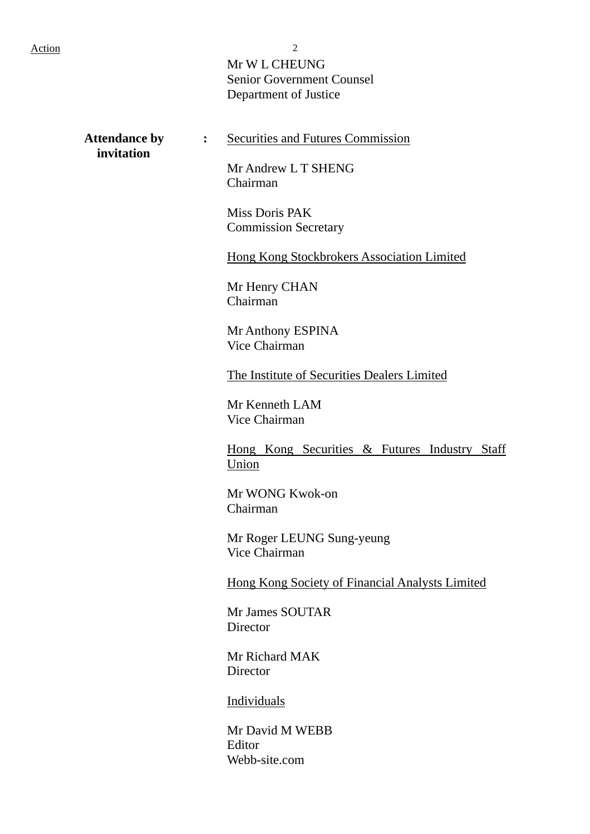Mr W L CHEUNG Senior Government Counsel Department of Justice

 **invitation** 

Attendance by : Securities and Futures Commission

Mr Andrew L T SHENG Chairman

Miss Doris PAK Commission Secretary

Hong Kong Stockbrokers Association Limited

Mr Henry CHAN Chairman

Mr Anthony ESPINA Vice Chairman

The Institute of Securities Dealers Limited

Mr Kenneth LAM Vice Chairman

Hong Kong Securities & Futures Industry Staff Union

Mr WONG Kwok-on Chairman

Mr Roger LEUNG Sung-yeung Vice Chairman

Hong Kong Society of Financial Analysts Limited

Mr James SOUTAR **Director** 

Mr Richard MAK **Director** 

Individuals

Mr David M WEBB Editor Webb-site.com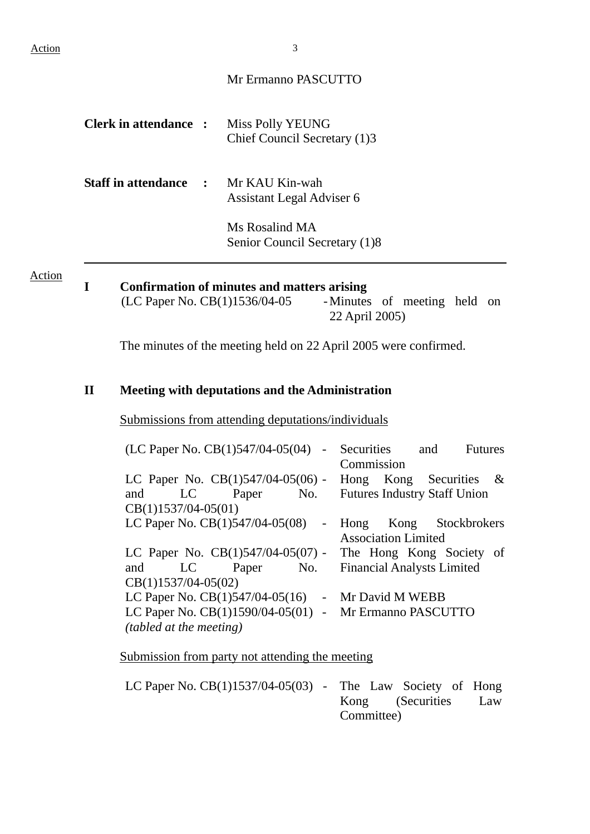#### Mr Ermanno PASCUTTO

| <b>Clerk in attendance :</b>                | Miss Polly YEUNG<br>Chief Council Secretary (1)3 |
|---------------------------------------------|--------------------------------------------------|
| <b>Staff in attendance : Mr KAU Kin-wah</b> | Assistant Legal Adviser 6                        |

Ms Rosalind MA Senior Council Secretary (1)8

Action

# **I** Confirmation of minutes and matters arising<br>(LC Paper No. CB(1)1536/04-05 - Minutes

-Minutes of meeting held on 22 April 2005)

The minutes of the meeting held on 22 April 2005 were confirmed.

#### **II Meeting with deputations and the Administration**

Submissions from attending deputations/individuals

| $(LC$ Paper No. $CB(1)547/04-05(04)$ - Securities and<br><b>Futures</b> |
|-------------------------------------------------------------------------|
| Commission                                                              |
| LC Paper No. $CB(1)547/04-05(06)$ -<br>Hong Kong Securities $\&$        |
| <b>Futures Industry Staff Union</b><br>LC Paper No.                     |
|                                                                         |
| LC Paper No. $CB(1)547/04-05(08)$ -<br>Hong Kong Stockbrokers           |
| <b>Association Limited</b>                                              |
| LC Paper No. $CB(1)547/04-05(07)$ - The Hong Kong Society of            |
| and LC Paper No. Financial Analysts Limited                             |
|                                                                         |
| LC Paper No. $CB(1)547/04-05(16)$ - Mr David M WEBB                     |
| LC Paper No. CB(1)1590/04-05(01) - Mr Ermanno PASCUTTO                  |
|                                                                         |
|                                                                         |

Submission from party not attending the meeting

| LC Paper No. $CB(1)1537/04-05(03)$ - The Law Society of Hong |  |            |                      |  |
|--------------------------------------------------------------|--|------------|----------------------|--|
|                                                              |  |            | Kong (Securities Law |  |
|                                                              |  | Committee) |                      |  |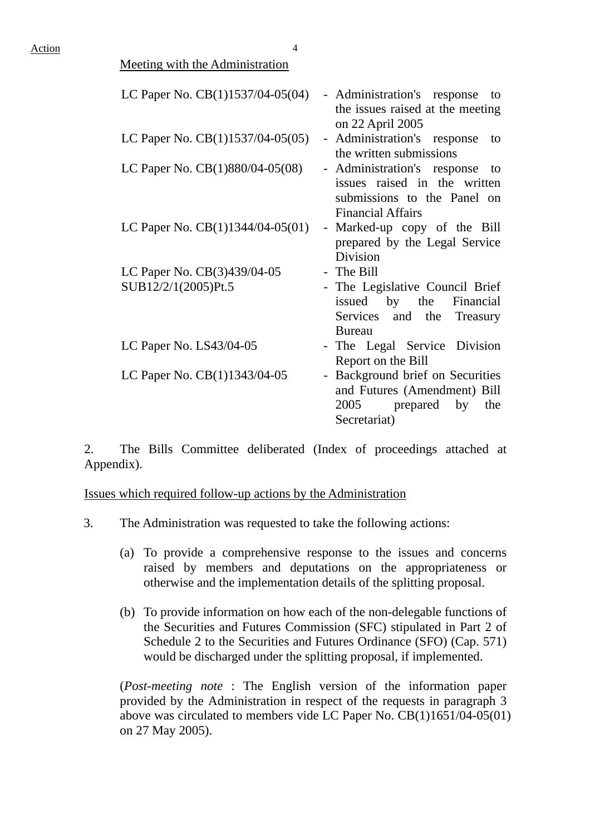| <b>Meeting with the Administration</b> |                                                                                                                              |
|----------------------------------------|------------------------------------------------------------------------------------------------------------------------------|
| LC Paper No. CB(1)1537/04-05(04)       | - Administration's response<br>to<br>the issues raised at the meeting<br>on 22 April 2005                                    |
| LC Paper No. $CB(1)1537/04-05(05)$     | - Administration's response<br>to<br>the written submissions                                                                 |
| LC Paper No. CB(1)880/04-05(08)        | - Administration's response<br>to<br>issues raised in the written<br>submissions to the Panel on<br><b>Financial Affairs</b> |
| LC Paper No. $CB(1)1344/04-05(01)$     | - Marked-up copy of the Bill<br>prepared by the Legal Service<br><b>Division</b>                                             |
| LC Paper No. CB(3)439/04-05            | - The Bill                                                                                                                   |
| SUB12/2/1(2005)Pt.5                    | - The Legislative Council Brief<br>issued by the Financial<br>Services and the<br>Treasury<br><b>Bureau</b>                  |
| LC Paper No. $LS43/04-05$              | - The Legal Service Division<br>Report on the Bill                                                                           |
| LC Paper No. CB(1)1343/04-05           | - Background brief on Securities<br>and Futures (Amendment) Bill<br>2005 prepared<br>by<br>the<br>Secretariat)               |

2. The Bills Committee deliberated (Index of proceedings attached at Appendix).

Issues which required follow-up actions by the Administration

- 3. The Administration was requested to take the following actions:
	- (a) To provide a comprehensive response to the issues and concerns raised by members and deputations on the appropriateness or otherwise and the implementation details of the splitting proposal.
	- (b) To provide information on how each of the non-delegable functions of the Securities and Futures Commission (SFC) stipulated in Part 2 of Schedule 2 to the Securities and Futures Ordinance (SFO) (Cap. 571) would be discharged under the splitting proposal, if implemented.

(*Post-meeting note* : The English version of the information paper provided by the Administration in respect of the requests in paragraph 3 above was circulated to members vide LC Paper No. CB(1)1651/04-05(01) on 27 May 2005).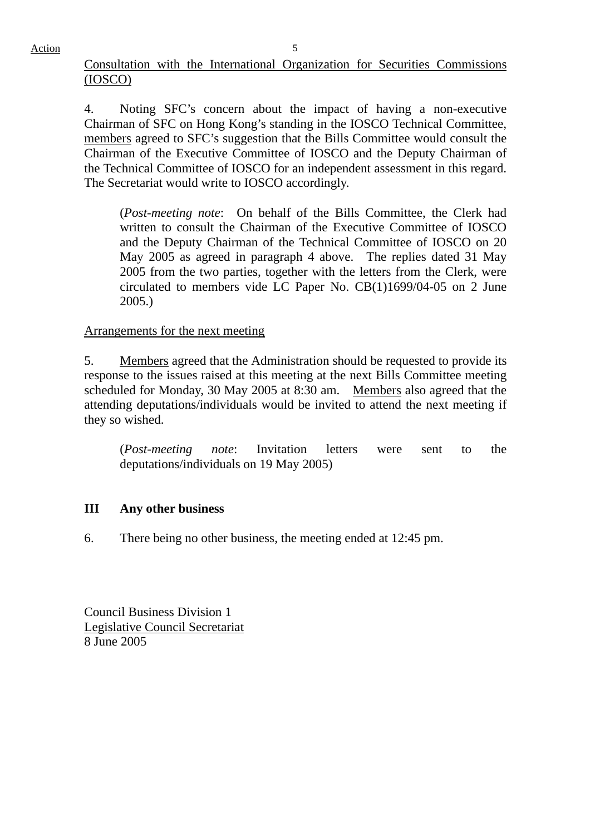### Consultation with the International Organization for Securities Commissions (IOSCO)

4. Noting SFC's concern about the impact of having a non-executive Chairman of SFC on Hong Kong's standing in the IOSCO Technical Committee, members agreed to SFC's suggestion that the Bills Committee would consult the Chairman of the Executive Committee of IOSCO and the Deputy Chairman of the Technical Committee of IOSCO for an independent assessment in this regard. The Secretariat would write to IOSCO accordingly.

(*Post-meeting note*: On behalf of the Bills Committee, the Clerk had written to consult the Chairman of the Executive Committee of IOSCO and the Deputy Chairman of the Technical Committee of IOSCO on 20 May 2005 as agreed in paragraph 4 above. The replies dated 31 May 2005 from the two parties, together with the letters from the Clerk, were circulated to members vide LC Paper No. CB(1)1699/04-05 on 2 June 2005.)

## Arrangements for the next meeting

5. Members agreed that the Administration should be requested to provide its response to the issues raised at this meeting at the next Bills Committee meeting scheduled for Monday, 30 May 2005 at 8:30 am. Members also agreed that the attending deputations/individuals would be invited to attend the next meeting if they so wished.

(*Post-meeting note*: Invitation letters were sent to the deputations/individuals on 19 May 2005)

## **III Any other business**

6. There being no other business, the meeting ended at 12:45 pm.

Council Business Division 1 Legislative Council Secretariat 8 June 2005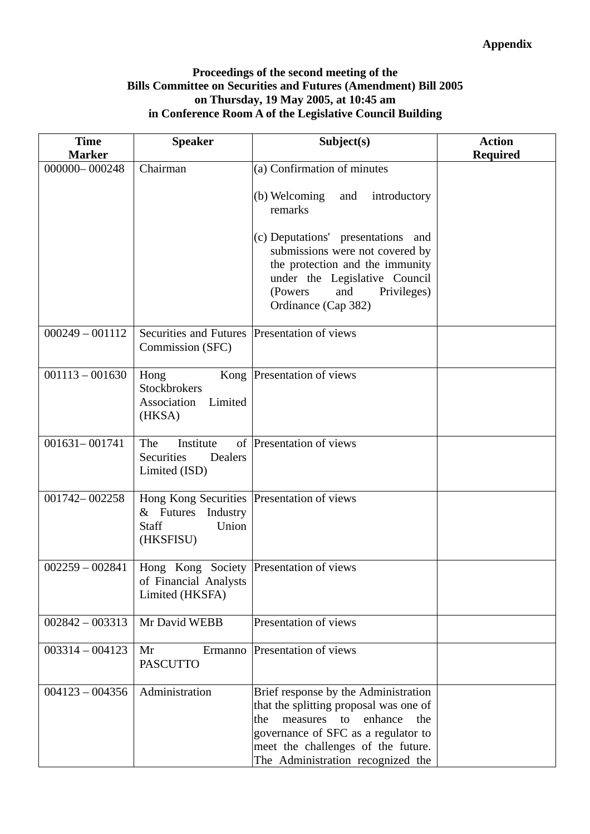#### **Proceedings of the second meeting of the Bills Committee on Securities and Futures (Amendment) Bill 2005 on Thursday, 19 May 2005, at 10:45 am in Conference Room A of the Legislative Council Building**

| <b>Time</b><br><b>Marker</b> | <b>Speaker</b>                                                                                                | Subject(s)                                                                                                                                                                                                                               | <b>Action</b><br><b>Required</b> |
|------------------------------|---------------------------------------------------------------------------------------------------------------|------------------------------------------------------------------------------------------------------------------------------------------------------------------------------------------------------------------------------------------|----------------------------------|
| 000000-000248                | Chairman                                                                                                      | (a) Confirmation of minutes                                                                                                                                                                                                              |                                  |
|                              |                                                                                                               | (b) Welcoming<br>and<br>introductory<br>remarks                                                                                                                                                                                          |                                  |
|                              |                                                                                                               | (c) Deputations' presentations and<br>submissions were not covered by<br>the protection and the immunity<br>under the Legislative Council<br>(Powers)<br>and<br>Privileges)<br>Ordinance (Cap 382)                                       |                                  |
| $000249 - 001112$            | Securities and Futures Presentation of views<br>Commission (SFC)                                              |                                                                                                                                                                                                                                          |                                  |
| $001113 - 001630$            | Hong<br><b>Stockbrokers</b><br>Association<br>Limited<br>(HKSA)                                               | Kong Presentation of views                                                                                                                                                                                                               |                                  |
| $001631 - 001741$            | The<br>Institute<br>Securities<br>Dealers<br>Limited (ISD)                                                    | of Presentation of views                                                                                                                                                                                                                 |                                  |
| 001742-002258                | Hong Kong Securities   Presentation of views<br>$&$ Futures<br>Industry<br><b>Staff</b><br>Union<br>(HKSFISU) |                                                                                                                                                                                                                                          |                                  |
| $002259 - 002841$            | Hong Kong Society   Presentation of views<br>of Financial Analysts<br>Limited (HKSFA)                         |                                                                                                                                                                                                                                          |                                  |
| $002842 - 003313$            | Mr David WEBB                                                                                                 | Presentation of views                                                                                                                                                                                                                    |                                  |
| $003314 - 004123$            | Mr<br>Ermanno<br><b>PASCUTTO</b>                                                                              | Presentation of views                                                                                                                                                                                                                    |                                  |
| $004123 - 004356$            | Administration                                                                                                | Brief response by the Administration<br>that the splitting proposal was one of<br>measures to<br>the<br>enhance<br>the<br>governance of SFC as a regulator to<br>meet the challenges of the future.<br>The Administration recognized the |                                  |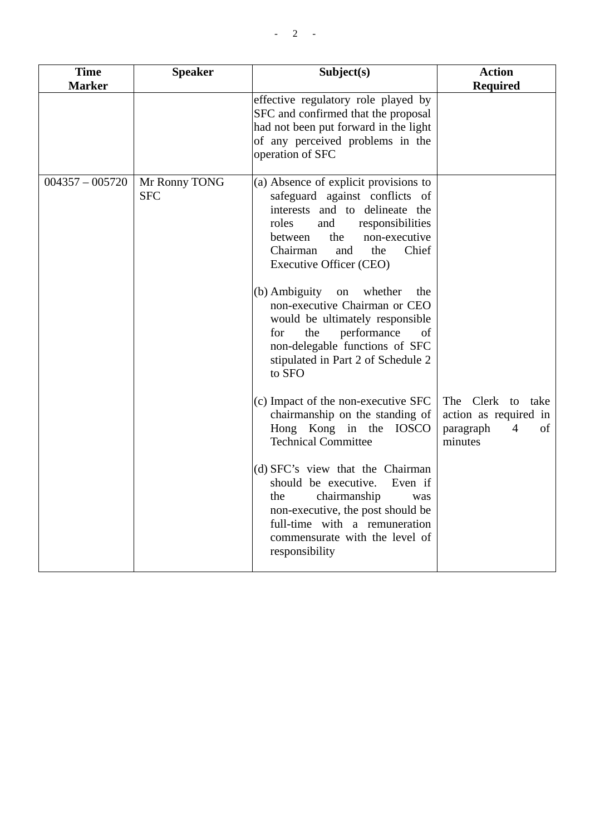| <b>Time</b><br><b>Marker</b> | <b>Speaker</b>              | Subject(s)                                                                                                                                                                                                                                                                                                                                                  | <b>Action</b><br><b>Required</b>                         |
|------------------------------|-----------------------------|-------------------------------------------------------------------------------------------------------------------------------------------------------------------------------------------------------------------------------------------------------------------------------------------------------------------------------------------------------------|----------------------------------------------------------|
|                              |                             | effective regulatory role played by<br>SFC and confirmed that the proposal<br>had not been put forward in the light<br>of any perceived problems in the<br>operation of SFC                                                                                                                                                                                 |                                                          |
| $004357 - 005720$            | Mr Ronny TONG<br><b>SFC</b> | (a) Absence of explicit provisions to<br>safeguard against conflicts of<br>interests and to delineate the<br>roles<br>and<br>responsibilities<br>the<br>non-executive<br>between<br>Chief<br>Chairman<br>and<br>the<br>Executive Officer (CEO)<br>(b) Ambiguity<br>whether<br>on<br>the<br>non-executive Chairman or CEO<br>would be ultimately responsible |                                                          |
|                              |                             | the<br>performance<br>for<br>of<br>non-delegable functions of SFC<br>stipulated in Part 2 of Schedule 2<br>to SFO<br>(c) Impact of the non-executive SFC                                                                                                                                                                                                    | The Clerk to<br>take                                     |
|                              |                             | chairmanship on the standing of<br>Hong Kong in the IOSCO<br><b>Technical Committee</b>                                                                                                                                                                                                                                                                     | action as required in<br>paragraph<br>4<br>οf<br>minutes |
|                              |                             | (d) SFC's view that the Chairman<br>should be executive.<br>Even if<br>the<br>chairmanship<br>was<br>non-executive, the post should be<br>full-time with a remuneration<br>commensurate with the level of<br>responsibility                                                                                                                                 |                                                          |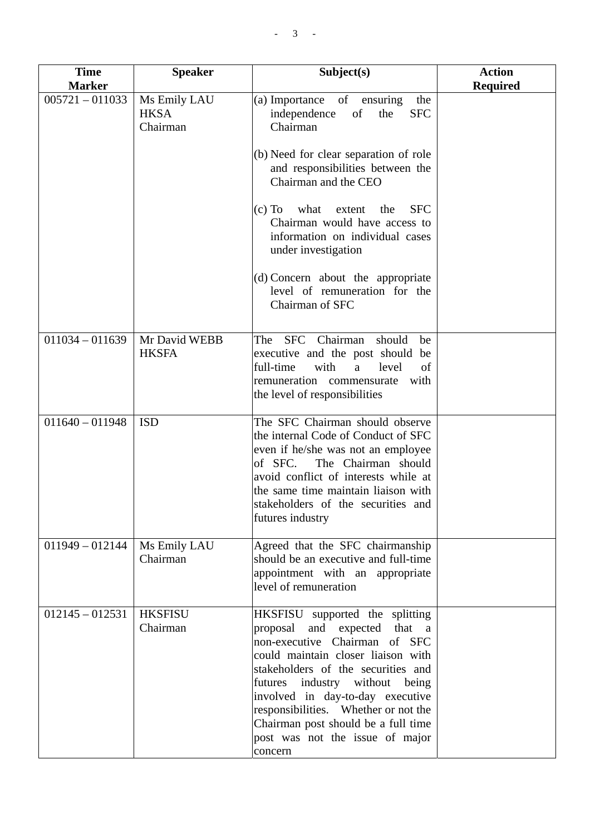| <b>Time</b>       | <b>Speaker</b>                          | Subject(s)                                                                                                                                                                                                                                                                                                                                                                            | <b>Action</b>   |
|-------------------|-----------------------------------------|---------------------------------------------------------------------------------------------------------------------------------------------------------------------------------------------------------------------------------------------------------------------------------------------------------------------------------------------------------------------------------------|-----------------|
| <b>Marker</b>     |                                         |                                                                                                                                                                                                                                                                                                                                                                                       | <b>Required</b> |
| $005721 - 011033$ | Ms Emily LAU<br><b>HKSA</b><br>Chairman | (a) Importance<br>of<br>ensuring<br>the<br><b>SFC</b><br>independence<br>of<br>the<br>Chairman<br>(b) Need for clear separation of role<br>and responsibilities between the<br>Chairman and the CEO<br><b>SFC</b><br>$(c)$ To<br>what<br>extent<br>the<br>Chairman would have access to<br>information on individual cases<br>under investigation                                     |                 |
|                   |                                         | (d) Concern about the appropriate<br>level of remuneration for the<br>Chairman of SFC                                                                                                                                                                                                                                                                                                 |                 |
| $011034 - 011639$ | Mr David WEBB<br><b>HKSFA</b>           | SFC Chairman<br>The<br>should<br>be<br>executive and the post should be<br>full-time<br>with<br>a<br>level<br>of<br>remuneration commensurate<br>with<br>the level of responsibilities                                                                                                                                                                                                |                 |
| $011640 - 011948$ | <b>ISD</b>                              | The SFC Chairman should observe<br>the internal Code of Conduct of SFC<br>even if he/she was not an employee<br>of SFC.<br>The Chairman should<br>avoid conflict of interests while at<br>the same time maintain liaison with<br>stakeholders of the securities and<br>futures industry                                                                                               |                 |
| $011949 - 012144$ | Ms Emily LAU<br>Chairman                | Agreed that the SFC chairmanship<br>should be an executive and full-time<br>appointment with an appropriate<br>level of remuneration                                                                                                                                                                                                                                                  |                 |
| $012145 - 012531$ | <b>HKSFISU</b><br>Chairman              | HKSFISU supported the splitting<br>and expected<br>proposal<br>that a<br>non-executive Chairman of SFC<br>could maintain closer liaison with<br>stakeholders of the securities and<br>futures industry without being<br>involved in day-to-day executive<br>responsibilities. Whether or not the<br>Chairman post should be a full time<br>post was not the issue of major<br>concern |                 |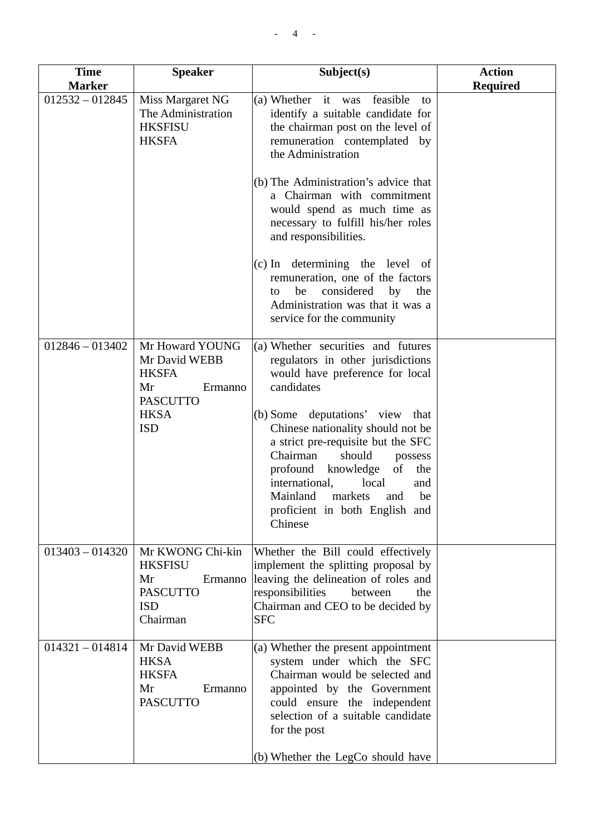| <b>Time</b><br><b>Marker</b> | <b>Speaker</b>                                                                                                    | Subject(s)                                                                                                                                                                                                                                                                                                                                                                                                                       | <b>Action</b><br><b>Required</b> |
|------------------------------|-------------------------------------------------------------------------------------------------------------------|----------------------------------------------------------------------------------------------------------------------------------------------------------------------------------------------------------------------------------------------------------------------------------------------------------------------------------------------------------------------------------------------------------------------------------|----------------------------------|
| $012532 - 012845$            | Miss Margaret NG<br>The Administration<br><b>HKSFISU</b><br><b>HKSFA</b>                                          | (a) Whether it was<br>feasible<br>to<br>identify a suitable candidate for<br>the chairman post on the level of<br>remuneration contemplated by<br>the Administration                                                                                                                                                                                                                                                             |                                  |
|                              |                                                                                                                   | (b) The Administration's advice that<br>a Chairman with commitment<br>would spend as much time as<br>necessary to fulfill his/her roles<br>and responsibilities.                                                                                                                                                                                                                                                                 |                                  |
|                              |                                                                                                                   | (c) In determining the level of<br>remuneration, one of the factors<br>considered<br>be<br>by<br>the<br>to<br>Administration was that it was a<br>service for the community                                                                                                                                                                                                                                                      |                                  |
| $012846 - 013402$            | Mr Howard YOUNG<br>Mr David WEBB<br><b>HKSFA</b><br>Mr<br>Ermanno<br><b>PASCUTTO</b><br><b>HKSA</b><br><b>ISD</b> | (a) Whether securities and futures<br>regulators in other jurisdictions<br>would have preference for local<br>candidates<br>(b) Some deputations' view that<br>Chinese nationality should not be<br>a strict pre-requisite but the SFC<br>Chairman<br>should<br>possess<br>profound<br>knowledge<br>of<br>the<br>international,<br>local<br>and<br>Mainland<br>markets<br>be<br>and<br>proficient in both English and<br>Chinese |                                  |
| $013403 - 014320$            | Mr KWONG Chi-kin<br><b>HKSFISU</b><br>Mr<br>Ermanno<br><b>PASCUTTO</b><br><b>ISD</b><br>Chairman                  | Whether the Bill could effectively<br>implement the splitting proposal by<br>leaving the delineation of roles and<br>responsibilities<br>between<br>the<br>Chairman and CEO to be decided by<br><b>SFC</b>                                                                                                                                                                                                                       |                                  |
| $014321 - 014814$            | Mr David WEBB<br><b>HKSA</b><br><b>HKSFA</b><br>Mr<br>Ermanno<br><b>PASCUTTO</b>                                  | (a) Whether the present appointment<br>system under which the SFC<br>Chairman would be selected and<br>appointed by the Government<br>could ensure the independent<br>selection of a suitable candidate<br>for the post<br>(b) Whether the LegCo should have                                                                                                                                                                     |                                  |